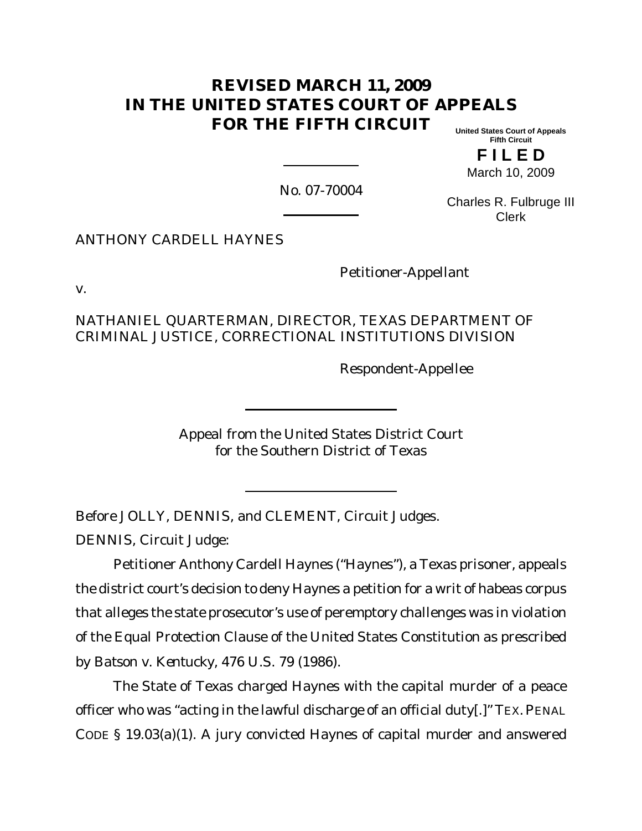# **REVISED MARCH 11, 2009 IN THE UNITED STATES COURT OF APPEALS FOR THE FIFTH CIRCUIT**

**United States Court of Appeals Fifth Circuit**

**F I L E D** March 10, 2009

No. 07-70004

Charles R. Fulbruge III Clerk

ANTHONY CARDELL HAYNES

Petitioner-Appellant

v.

NATHANIEL QUARTERMAN, DIRECTOR, TEXAS DEPARTMENT OF CRIMINAL JUSTICE, CORRECTIONAL INSTITUTIONS DIVISION

Respondent-Appellee

Appeal from the United States District Court for the Southern District of Texas

Before JOLLY, DENNIS, and CLEMENT, Circuit Judges.

DENNIS, Circuit Judge:

Petitioner Anthony Cardell Haynes ("Haynes"), a Texas prisoner, appeals the district court's decision to deny Haynes a petition for a writ of habeas corpus that alleges the state prosecutor's use of peremptory challenges was in violation of the Equal Protection Clause of the United States Constitution as prescribed by *Batson v. Kentucky*, 476 U.S. 79 (1986).

The State of Texas charged Haynes with the capital murder of a peace officer who was "acting in the lawful discharge of an official duty[.]" TEX. PENAL CODE § 19.03(a)(1). A jury convicted Haynes of capital murder and answered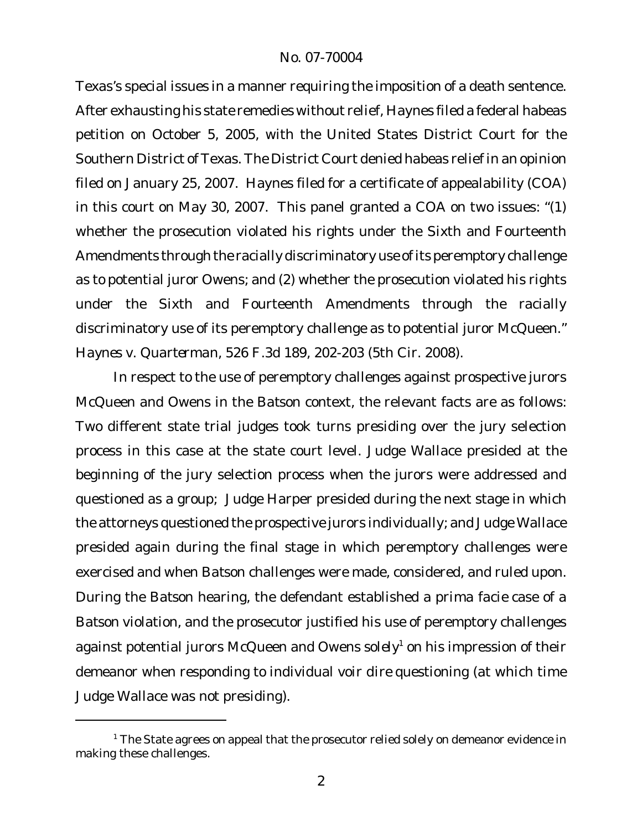Texas's special issues in a manner requiring the imposition of a death sentence. After exhausting his state remedies without relief, Haynes filed a federal habeas petition on October 5, 2005, with the United States District Court for the Southern District of Texas. The District Court denied habeas relief in an opinion filed on January 25, 2007. Haynes filed for a certificate of appealability (COA) in this court on May 30, 2007. This panel granted a COA on two issues: "(1) whether the prosecution violated his rights under the Sixth and Fourteenth Amendments through the racially discriminatory use of its peremptory challenge as to potential juror Owens; and (2) whether the prosecution violated his rights under the Sixth and Fourteenth Amendments through the racially discriminatory use of its peremptory challenge as to potential juror McQueen." *Haynes v. Quarterman,* 526 F.3d 189, 202-203 (5th Cir. 2008).

In respect to the use of peremptory challenges against prospective jurors McQueen and Owens in the *Batson* context, the relevant facts are as follows: Two different state trial judges took turns presiding over the jury selection process in this case at the state court level. Judge Wallace presided at the beginning of the jury selection process when the jurors were addressed and questioned as a group; Judge Harper presided during the next stage in which the attorneys questioned the prospective jurors individually; and Judge Wallace presided again during the final stage in which peremptory challenges were exercised and when *Batson* challenges were made, considered, and ruled upon. During the *Batson* hearing, the defendant established a *prima facie* case of a *Batson* violation, and the prosecutor justified his use of peremptory challenges against potential jurors McQueen and Owens *solely*<sup>1</sup> on his impression of their demeanor when responding to individual *voir dire* questioning (at which time Judge Wallace was not presiding).

 $1$  The State agrees on appeal that the prosecutor relied solely on demeanor evidence in making these challenges.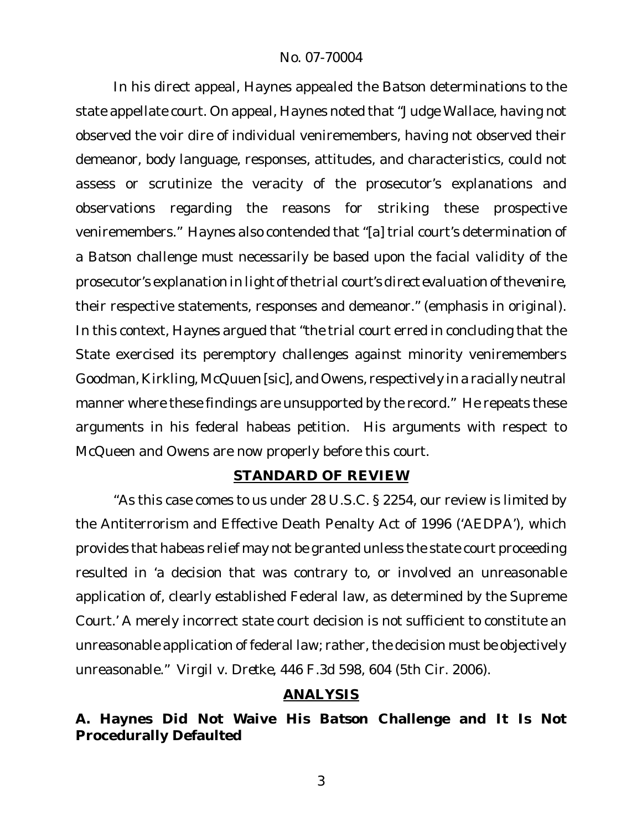In his direct appeal, Haynes appealed the *Batson* determinations to the state appellate court. On appeal, Haynes noted that "Judge Wallace, having not observed the voir dire of individual veniremembers, having not observed their demeanor, body language, responses, attitudes, and characteristics, could not assess or scrutinize the veracity of the prosecutor's explanations and observations regarding the reasons for striking these prospective veniremembers." Haynes also contended that "[a] trial court's determination of a *Batson* challenge must necessarily be based upon the facial validity of the prosecutor's explanation *in light ofthe trial court's direct evaluation of the venire*, their respective statements, responses and demeanor." (emphasis in original). In this context, Haynes argued that "the trial court erred in concluding that the State exercised its peremptory challenges against minority veniremembers Goodman, Kirkling, McQuuen [sic], and Owens, respectively in a racially neutral manner where these findings are unsupported by the record." He repeats these arguments in his federal habeas petition. His arguments with respect to McQueen and Owens are now properly before this court.

## **STANDARD OF REVIEW**

"As this case comes to us under 28 U.S.C. § 2254, our review is limited by the Antiterrorism and Effective Death Penalty Act of 1996 ('AEDPA'), which provides that habeas relief may not be granted unless the state court proceeding resulted in 'a decision that was contrary to, or involved an unreasonable application of, clearly established Federal law, as determined by the Supreme Court.' A merely incorrect state court decision is not sufficient to constitute an unreasonable application of federal law; rather, the decision must be objectively unreasonable." *Virgil v. Dretke,* 446 F.3d 598, 604 (5th Cir. 2006).

## **ANALYSIS**

**A. Haynes Did Not Waive His** *Batson* **Challenge and It Is Not Procedurally Defaulted**

3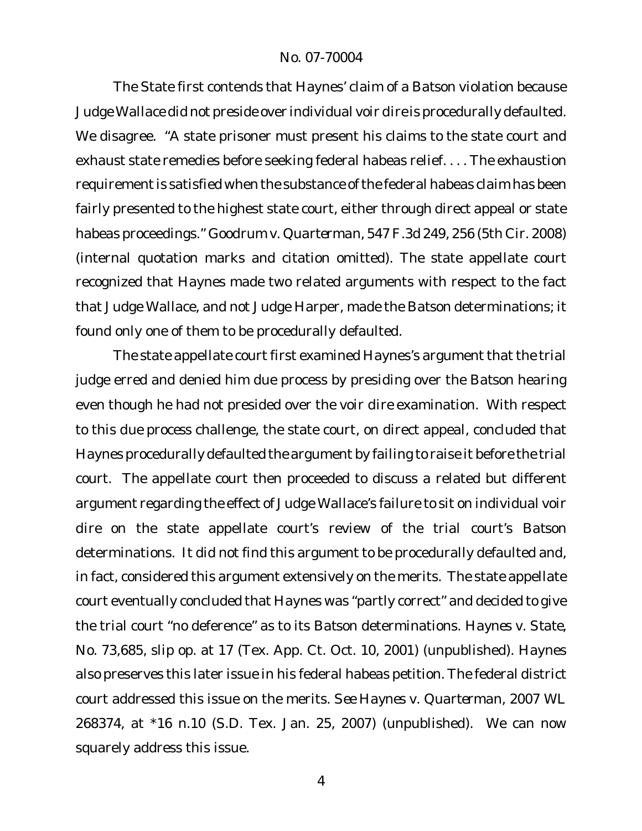The State first contends that Haynes' claim of a *Batson* violation because Judge Wallace did not preside over individual *voir dire* is procedurally defaulted. We disagree. "A state prisoner must present his claims to the state court and exhaust state remedies before seeking federal habeas relief. . . . The exhaustion requirement is satisfied when the substance of the federal habeas claim has been fairly presented to the highest state court, either through direct appeal or state habeas proceedings." *Goodrum v. Quarterman,* 547 F.3d 249, 256 (5th Cir. 2008) (internal quotation marks and citation omitted). The state appellate court recognized that Haynes made two related arguments with respect to the fact that Judge Wallace, and not Judge Harper, made the *Batson* determinations; it found only one of them to be procedurally defaulted.

The state appellate court first examined Haynes's argument that the trial judge erred and denied him due process by presiding over the *Batson* hearing even though he had not presided over the *voir dire* examination. With respect to this *due process* challenge, the state court, on direct appeal, concluded that Haynes procedurally defaulted the argument by failing to raise it before the trial court. The appellate court then proceeded to discuss a related but different argument regarding the effect of Judge Wallace's failure to sit on individual *voir dire* on the state appellate court's review of the trial court's *Batson* determinations. It did not find this argument to be procedurally defaulted and, in fact, considered this argument extensively on the merits. The state appellate court eventually concluded that Haynes was "partly correct" and decided to give the trial court "no deference" as to its *Batson* determinations. *Haynes v. State*, No. 73,685, slip op. at 17 (Tex. App. Ct. Oct. 10, 2001) (unpublished). Haynes also preserves this later issue in his federal habeas petition. The federal district court addressed this issue on the merits. *See Haynes v. Quarterman,* 2007 WL 268374, at \*16 n.10 (S.D. Tex. Jan. 25, 2007) (unpublished). We can now squarely address this issue.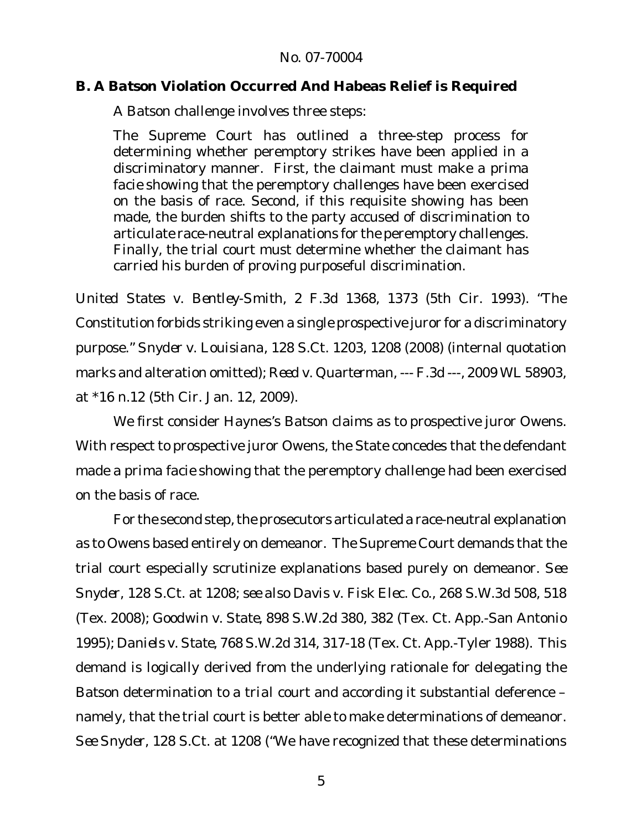## **B. A** *Batson* **Violation Occurred And Habeas Relief is Required**

A *Batson* challenge involves three steps:

The Supreme Court has outlined a three-step process for determining whether peremptory strikes have been applied in a discriminatory manner. First, the claimant must make a *prima facie* showing that the peremptory challenges have been exercised on the basis of race. Second, if this requisite showing has been made, the burden shifts to the party accused of discrimination to articulate race-neutral explanations for the peremptory challenges. Finally, the trial court must determine whether the claimant has carried his burden of proving purposeful discrimination.

*United States v. Bentley-Smith*, 2 F.3d 1368, 1373 (5th Cir. 1993). "The Constitution forbids striking even a single prospective juror for a discriminatory purpose." *Snyder v. Louisiana*, 128 S.Ct. 1203, 1208 (2008) (internal quotation marks and alteration omitted); *Reed v. Quarterman,* --- F.3d ---, 2009 WL 58903, at \*16 n.12 (5th Cir. Jan. 12, 2009).

We first consider Haynes's *Batson* claims as to prospective juror Owens. With respect to prospective juror Owens, the State concedes that the defendant made a *prima facie* showing that the peremptory challenge had been exercised on the basis of race.

For the second step, the prosecutors articulated a race-neutral explanation as to Owens based entirely on demeanor. The Supreme Court demands that the trial court especially scrutinize explanations based purely on demeanor. *See Snyder,* 128 S.Ct. at 1208; *see also Davis v. Fisk Elec. Co.,* 268 S.W.3d 508, 518 (Tex. 2008); *Goodwin v. State,* 898 S.W.2d 380, 382 (Tex. Ct. App.-San Antonio 1995); *Daniels v. State,* 768 S.W.2d 314, 317-18 (Tex. Ct. App.-Tyler 1988)*.* This demand is logically derived from the underlying rationale for delegating the *Batson* determination to a *trial* court and according it substantial deference – namely, that the trial court is better able to make determinations of demeanor. *See Snyder*, 128 S.Ct. at 1208 ("We have recognized that these determinations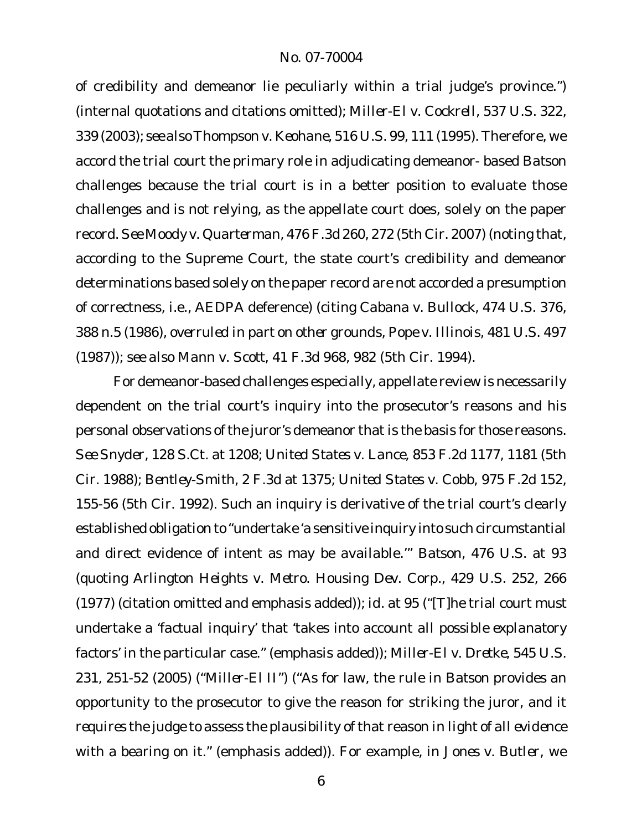of credibility and demeanor lie peculiarly within a trial judge's province.") (internal quotations and citations omitted); *Miller-El v. Cockrell*, 537 U.S. 322, 339 (2003); *see alsoThompson v. Keohane,* 516 U.S. 99, 111 (1995). Therefore, we accord the trial court the primary role in adjudicating demeanor- based *Batson* challenges because the trial court is in a better position to evaluate those challenges and is not relying, as the appellate court does, solely on the paper record. *See Moody v. Quarterman,* 476 F.3d 260, 272 (5th Cir. 2007) (noting that, according to the Supreme Court, the state court's credibility and demeanor determinations based solely on the paper record are not accorded a presumption of correctness, i.e., AEDPA deference) (citing *Cabana v. Bullock*, 474 U.S. 376, 388 n.5 (1986), *overruled in part on other grounds*, *Pope v. Illinois*, 481 U.S. 497 (1987)); *see also Mann v. Scott,* 41 F.3d 968, 982 (5th Cir. 1994).

For demeanor-based challenges especially, appellate review is necessarily dependent on the trial court's inquiry into the prosecutor's reasons and his personal observations of the juror's demeanor that is the basis for those reasons. *See Snyder,* 128 S.Ct. at 1208; *United States v. Lance,* 853 F.2d 1177, 1181 (5th Cir. 1988)*; Bentley-Smith,* 2 F.3d at 1375; *United States v. Cobb,* 975 F.2d 152, 155-56 (5th Cir. 1992). Such an inquiry is derivative of the trial court's clearly established obligation to "undertake 'a sensitive inquiry into such circumstantial and direct evidence of intent as may be available.'" *Batson*, 476 U.S. at 93 (quoting *Arlington Heights v. Metro. Housing Dev. Corp.*, 429 U.S. 252, 266 (1977) (citation omitted and emphasis added)); *id.* at 95 ("[T]he trial court *must* undertake a '*factual inquiry*' that 'takes into account *all possible explanatory factors'* in the particular case." (emphasis added)); *Miller-El v. Dretke,* 545 U.S. 231, 251-52 (2005) ("*Miller-El II"*) ("As for law, the rule in *Batson* provides an opportunity to the prosecutor to give the reason for striking the juror, and it *requires* the judge to assess the plausibility of that reason *in light of all evidence* with a bearing on it." (emphasis added)). For example, in *Jones v. Butler*, we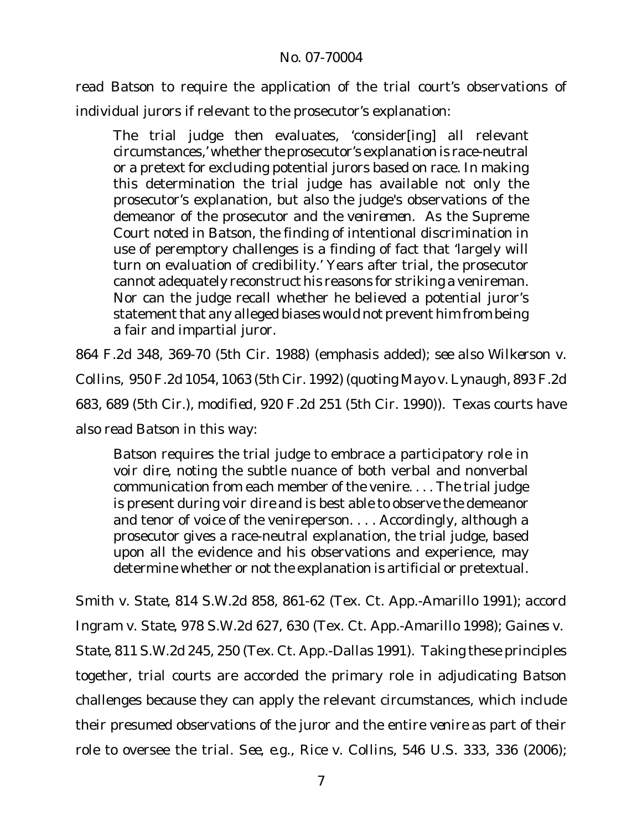read *Batson* to require the application of the trial court's observations of individual jurors if relevant to the prosecutor's explanation:

The trial judge then evaluates, 'consider[ing] all relevant circumstances,' whether the prosecutor's explanation is race-neutral or a pretext for excluding potential jurors based on race. In making this determination the trial judge has available not only the prosecutor's explanation, but also the judge's observations of the demeanor of the prosecutor *and the veniremen*. As the Supreme Court noted in *Batson*, the finding of intentional discrimination in use of peremptory challenges is a finding of fact that 'largely will turn on evaluation of credibility.' Years after trial, the prosecutor cannot adequately reconstruct his reasons for striking a venireman. Nor can the judge recall whether he believed a potential juror's statement that any alleged biases would not prevent him from being a fair and impartial juror.

864 F.2d 348, 369-70 (5th Cir. 1988) (emphasis added); *see also Wilkerson v. Collins,* 950 F.2d 1054, 1063 (5th Cir. 1992) (quoting *Mayo v. Lynaugh*, 893 F.2d 683, 689 (5th Cir.), *modified*, 920 F.2d 251 (5th Cir. 1990)). Texas courts have also read *Batson* in this way:

*Batson* requires the trial judge to embrace a participatory role in *voir dire*, noting the subtle nuance of both verbal and nonverbal communication from each member of the venire. . . . The trial judge is present during *voir dire* and is best able to observe the demeanor and tenor of voice of the venireperson. . . . Accordingly, although a prosecutor gives a race-neutral explanation, the trial judge, based upon all the evidence and his observations and experience, may determine whether or not the explanation is artificial or pretextual.

*Smith v. State,* 814 S.W.2d 858, 861-62 (Tex. Ct. App.-Amarillo 1991); *accord Ingram v. State,* 978 S.W.2d 627, 630 (Tex. Ct. App.-Amarillo 1998); *Gaines v. State,* 811 S.W.2d 245, 250 (Tex. Ct. App.-Dallas 1991). Taking these principles together, trial courts are accorded the primary role in adjudicating *Batson* challenges because they can apply the relevant circumstances, which include their presumed observations of the juror and the entire *venire* as part of their role to oversee the trial*. See, e.g., Rice v. Collins,* 546 U.S. 333, 336 (2006);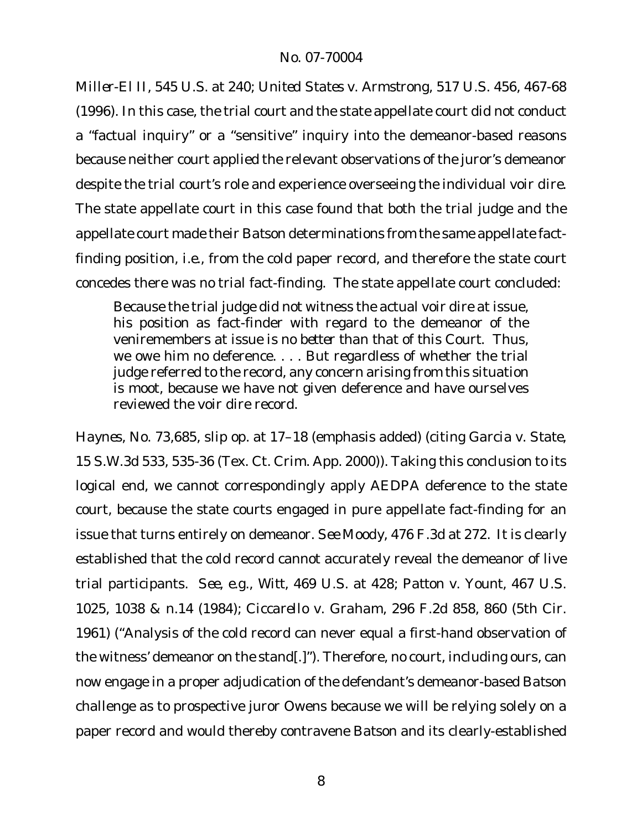*Miller-El II,* 545 U.S. at 240; *United States v. Armstrong,* 517 U.S. 456, 467-68 (1996). In this case, the trial court and the state appellate court did not conduct a "factual inquiry" or a "sensitive" inquiry into the demeanor-based reasons because neither court applied the relevant observations of the juror's demeanor despite the trial court's role and experience overseeing the individual *voir dire*. The state appellate court in this case found that both the trial judge and the appellate court made their *Batson* determinations from the same appellate factfinding position, *i.e.*, from the cold paper record, and therefore the state court concedes there was no trial fact-finding. The state appellate court concluded:

Because the trial judge did not witness the actual voir dire at issue, his position as fact-finder with regard to the demeanor of the veniremembers at issue *is no better than that of this Court*. Thus, we owe him no deference. . . . But regardless of whether the trial judge referred to the record, any concern arising from this situation is moot, because we have not given deference and have ourselves reviewed the voir dire record.

*Haynes*, No. 73,685, slip op. at 17–18 (emphasis added) (citing *Garcia v. State,* 15 S.W.3d 533, 535-36 (Tex. Ct. Crim. App. 2000)). Taking this conclusion to its logical end, we cannot correspondingly apply AEDPA deference to the state court, because the state courts engaged in pure appellate fact-finding for an issue that turns entirely on demeanor. *See Moody,* 476 F.3d at 272. It is clearly established that the cold record cannot accurately reveal the demeanor of live trial participants. *See, e.g., Witt,* 469 U.S. at 428; *Patton v. Yount,* 467 U.S. 1025, 1038 & n.14 (1984); *Ciccarello v. Graham*, 296 F.2d 858, 860 (5th Cir. 1961) ("Analysis of the cold record can never equal a first-hand observation of the witness' demeanor on the stand[.]"). Therefore, no court, including ours, can now engage in a proper adjudication of the defendant's demeanor-based *Batson* challenge as to prospective juror Owens because we will be relying solely on a paper record and would thereby contravene *Batson* and its clearly-established